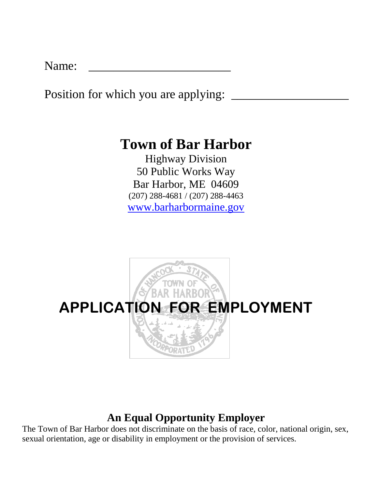Name:

Position for which you are applying:

# **Town of Bar Harbor**

Highway Division 50 Public Works Way Bar Harbor, ME 04609 (207) 288-4681 / (207) 288-4463 [www.barharbormaine.gov](http://www.barharbormaine.gov/)



## **An Equal Opportunity Employer**

The Town of Bar Harbor does not discriminate on the basis of race, color, national origin, sex, sexual orientation, age or disability in employment or the provision of services.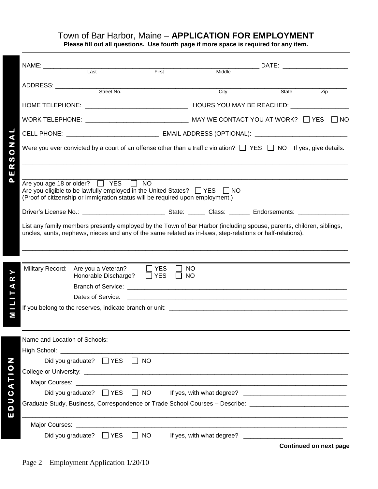### Town of Bar Harbor, Maine – **APPLICATION FOR EMPLOYMENT**

**Please fill out all questions. Use fourth page if more space is required for any item.**

|                                                                                               | NAME: _______________                                                                                                                                                                                                             |                                        |                          |                        |        |       | DATE: the contract of the contract of the contract of the contract of the contract of the contract of the contract of the contract of the contract of the contract of the contract of the contract of the contract of the cont |  |  |  |
|-----------------------------------------------------------------------------------------------|-----------------------------------------------------------------------------------------------------------------------------------------------------------------------------------------------------------------------------------|----------------------------------------|--------------------------|------------------------|--------|-------|--------------------------------------------------------------------------------------------------------------------------------------------------------------------------------------------------------------------------------|--|--|--|
|                                                                                               |                                                                                                                                                                                                                                   | Last                                   | First                    |                        | Middle |       |                                                                                                                                                                                                                                |  |  |  |
|                                                                                               |                                                                                                                                                                                                                                   |                                        |                          |                        |        |       |                                                                                                                                                                                                                                |  |  |  |
|                                                                                               |                                                                                                                                                                                                                                   |                                        |                          |                        | City   | State | Zip                                                                                                                                                                                                                            |  |  |  |
|                                                                                               |                                                                                                                                                                                                                                   |                                        |                          |                        |        |       |                                                                                                                                                                                                                                |  |  |  |
|                                                                                               | WORK TELEPHONE: $\sqrt{N}$ MAY WE CONTACT YOU AT WORK? $\Box$ YES $\Box$ NO                                                                                                                                                       |                                        |                          |                        |        |       |                                                                                                                                                                                                                                |  |  |  |
| $\blacktriangleleft$<br>Z<br>$\overline{\mathbf{o}}$<br>$\boldsymbol{\omega}$<br>R<br>ш<br>Δ. | CELL PHONE: ___________________________________ EMAIL ADDRESS (OPTIONAL): __________________________                                                                                                                              |                                        |                          |                        |        |       |                                                                                                                                                                                                                                |  |  |  |
|                                                                                               | Were you ever convicted by a court of an offense other than a traffic violation? $\Box$ YES $\Box$ NO If yes, give details.                                                                                                       |                                        |                          |                        |        |       |                                                                                                                                                                                                                                |  |  |  |
|                                                                                               | Are you age 18 or older? $\Box$ YES $\Box$ NO<br>Are you eligible to be lawfully employed in the United States? $\Box$ YES $\Box$ NO<br>(Proof of citizenship or immigration status will be required upon employment.)            |                                        |                          |                        |        |       |                                                                                                                                                                                                                                |  |  |  |
|                                                                                               |                                                                                                                                                                                                                                   |                                        |                          |                        |        |       |                                                                                                                                                                                                                                |  |  |  |
|                                                                                               | List any family members presently employed by the Town of Bar Harbor (including spouse, parents, children, siblings,<br>uncles, aunts, nephews, nieces and any of the same related as in-laws, step-relations or half-relations). |                                        |                          |                        |        |       |                                                                                                                                                                                                                                |  |  |  |
|                                                                                               |                                                                                                                                                                                                                                   |                                        |                          |                        |        |       |                                                                                                                                                                                                                                |  |  |  |
| ≻<br>R<br>⋖<br>М                                                                              | Military Record: Are you a Veteran?                                                                                                                                                                                               | Honorable Discharge?                   | $\Box$ YES<br>$\Box$ YES | <b>NO</b><br><b>NO</b> |        |       |                                                                                                                                                                                                                                |  |  |  |
|                                                                                               |                                                                                                                                                                                                                                   |                                        |                          |                        |        |       |                                                                                                                                                                                                                                |  |  |  |
|                                                                                               |                                                                                                                                                                                                                                   | Dates of Service:                      |                          |                        |        |       |                                                                                                                                                                                                                                |  |  |  |
|                                                                                               |                                                                                                                                                                                                                                   |                                        |                          |                        |        |       |                                                                                                                                                                                                                                |  |  |  |
|                                                                                               |                                                                                                                                                                                                                                   |                                        |                          |                        |        |       |                                                                                                                                                                                                                                |  |  |  |
|                                                                                               | Name and Location of Schools:                                                                                                                                                                                                     |                                        |                          |                        |        |       |                                                                                                                                                                                                                                |  |  |  |
|                                                                                               |                                                                                                                                                                                                                                   |                                        |                          |                        |        |       |                                                                                                                                                                                                                                |  |  |  |
| N                                                                                             |                                                                                                                                                                                                                                   | Did you graduate? □ YES □ NO           |                          |                        |        |       |                                                                                                                                                                                                                                |  |  |  |
| $\overline{0}$                                                                                |                                                                                                                                                                                                                                   |                                        |                          |                        |        |       |                                                                                                                                                                                                                                |  |  |  |
| $\vdash$<br>$\blacktriangleleft$                                                              |                                                                                                                                                                                                                                   |                                        |                          |                        |        |       |                                                                                                                                                                                                                                |  |  |  |
| $\mathbf C$<br>D                                                                              |                                                                                                                                                                                                                                   | Did you graduate? $\Box$ YES $\Box$ NO |                          |                        |        |       |                                                                                                                                                                                                                                |  |  |  |
| D                                                                                             | Graduate Study, Business, Correspondence or Trade School Courses - Describe: _________________________________                                                                                                                    |                                        |                          |                        |        |       |                                                                                                                                                                                                                                |  |  |  |
| ш                                                                                             |                                                                                                                                                                                                                                   |                                        |                          |                        |        |       |                                                                                                                                                                                                                                |  |  |  |
|                                                                                               |                                                                                                                                                                                                                                   |                                        |                          |                        |        |       |                                                                                                                                                                                                                                |  |  |  |
|                                                                                               |                                                                                                                                                                                                                                   |                                        |                          |                        |        |       | <b>Continued on next page</b>                                                                                                                                                                                                  |  |  |  |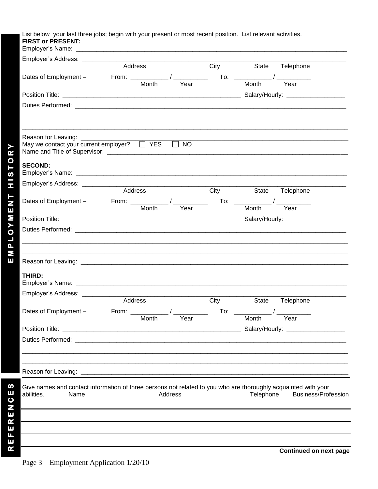#### List below your last three jobs; begin with your present or most recent position. List relevant activities. **FIRST or PRESENT:**

|                                                                                                                                      | Address                                      |                     | City | State                                           | Telephone                           |
|--------------------------------------------------------------------------------------------------------------------------------------|----------------------------------------------|---------------------|------|-------------------------------------------------|-------------------------------------|
| Dates of Employment -                                                                                                                | From: _____________/ ______________<br>Month | Year                |      | $\mathsf{To:}\quad \_\_\_\_\_\_\_\_\_$<br>Month | $\overline{\phantom{a}}$<br>Year    |
|                                                                                                                                      |                                              |                     |      |                                                 |                                     |
|                                                                                                                                      |                                              |                     |      |                                                 |                                     |
|                                                                                                                                      |                                              |                     |      |                                                 |                                     |
|                                                                                                                                      |                                              |                     |      |                                                 |                                     |
| Reason for Leaving: __________________<br>May we contact your current employer?                                                      | $\Box$ YES                                   | $\Box$<br><b>NO</b> |      |                                                 |                                     |
| <b>SECOND:</b>                                                                                                                       |                                              |                     |      |                                                 |                                     |
| Employer's Address: ______________                                                                                                   |                                              |                     |      |                                                 |                                     |
|                                                                                                                                      | Address                                      |                     | City | State                                           | Telephone                           |
|                                                                                                                                      | Month                                        | Year                |      | Month                                           | Year                                |
|                                                                                                                                      |                                              |                     |      |                                                 |                                     |
|                                                                                                                                      |                                              |                     |      |                                                 |                                     |
|                                                                                                                                      |                                              |                     |      |                                                 |                                     |
|                                                                                                                                      |                                              |                     |      |                                                 |                                     |
|                                                                                                                                      |                                              |                     |      |                                                 |                                     |
| THIRD:                                                                                                                               |                                              |                     |      |                                                 |                                     |
| Employer's Address: __________                                                                                                       |                                              |                     |      |                                                 |                                     |
|                                                                                                                                      | Address                                      |                     | City | State                                           | Telephone                           |
| Dates of Employment -                                                                                                                | From:                                        |                     | To:  |                                                 |                                     |
|                                                                                                                                      | Month                                        | Year                |      | Month                                           | Year                                |
| Position Title:                                                                                                                      |                                              |                     |      |                                                 | Salary/Hourly: ____________________ |
|                                                                                                                                      |                                              |                     |      |                                                 |                                     |
|                                                                                                                                      |                                              |                     |      |                                                 |                                     |
| Reason for Leaving: _                                                                                                                |                                              |                     |      |                                                 |                                     |
| Give names and contact information of three persons not related to you who are thoroughly acquainted with your<br>abilities.<br>Name |                                              | Address             |      | Telephone                                       | Business/Profession                 |

REFERENCES

**Continued on next page**